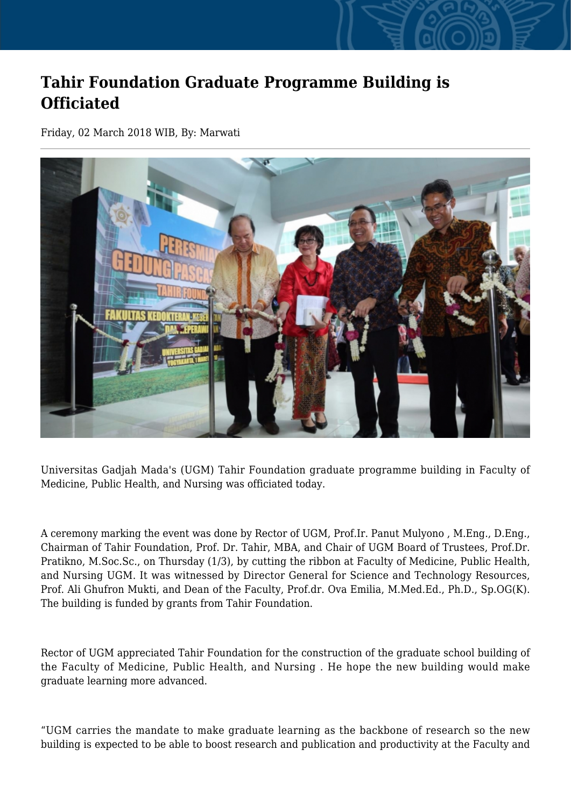## **Tahir Foundation Graduate Programme Building is Officiated**

Friday, 02 March 2018 WIB, By: Marwati



Universitas Gadjah Mada's (UGM) Tahir Foundation graduate programme building in Faculty of Medicine, Public Health, and Nursing was officiated today.

A ceremony marking the event was done by Rector of UGM, Prof.Ir. Panut Mulyono , M.Eng., D.Eng., Chairman of Tahir Foundation, Prof. Dr. Tahir, MBA, and Chair of UGM Board of Trustees, Prof.Dr. Pratikno, M.Soc.Sc., on Thursday (1/3), by cutting the ribbon at Faculty of Medicine, Public Health, and Nursing UGM. It was witnessed by Director General for Science and Technology Resources, Prof. Ali Ghufron Mukti, and Dean of the Faculty, Prof.dr. Ova Emilia, M.Med.Ed., Ph.D., Sp.OG(K). The building is funded by grants from Tahir Foundation.

Rector of UGM appreciated Tahir Foundation for the construction of the graduate school building of the Faculty of Medicine, Public Health, and Nursing . He hope the new building would make graduate learning more advanced.

"UGM carries the mandate to make graduate learning as the backbone of research so the new building is expected to be able to boost research and publication and productivity at the Faculty and